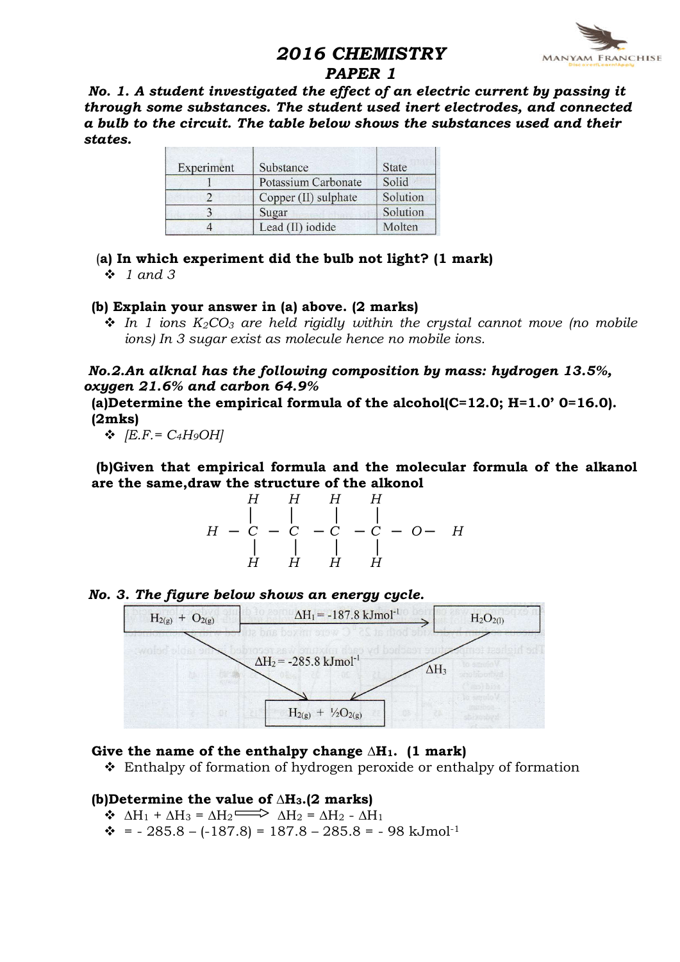# 2016 CHEMISTRY



#### PAPER 1

No. 1. A student investigated the effect of an electric current by passing it through some substances. The student used inert electrodes, and connected a bulb to the circuit. The table below shows the substances used and their states.

| Experiment | Substance                  | <b>State</b> |
|------------|----------------------------|--------------|
|            | <b>Potassium Carbonate</b> | Solid        |
|            | Copper (II) sulphate       | Solution     |
| 3          | Sugar                      | Solution     |
|            | Lead (II) iodide           | Molten       |

(a) In which experiment did the bulb not light? (1 mark)

 $\div$  1 and 3

#### (b) Explain your answer in (a) above. (2 marks)

 $\cdot$  In 1 ions  $K_2CO_3$  are held rigidly within the crystal cannot move (no mobile ions) In 3 sugar exist as molecule hence no mobile ions.

No.2.An alknal has the following composition by mass: hydrogen 13.5%, oxygen 21.6% and carbon 64.9%

(a)Determine the empirical formula of the alcohol( $C=12.0$ ; H=1.0' 0=16.0). (2mks)

 $\bullet$   $|E.F. = C_4H_9OH|$ 

(b)Given that empirical formula and the molecular formula of the alkanol are the same,draw the structure of the alkonol

$$
H \begin{array}{c|ccccc} & H & H & H & H \\ & | & | & | & | & \\ H & -C & -C & -C & -C & -O & H \\ & | & | & | & | & \\ H & H & H & H & H \end{array}
$$



#### No. 3. The figure below shows an energy cycle.

#### Give the name of the enthalpy change  $\Delta H_1$ . (1 mark)

v Enthalpy of formation of hydrogen peroxide or enthalpy of formation

#### (b)Determine the value of ∆H3.(2 marks)

- $\triangle$   $\Delta H_1 + \Delta H_3 = \Delta H_2$   $\Longrightarrow$   $\Delta H_2 = \Delta H_2 \Delta H_1$
- $\div$  = 285.8 (-187.8) = 187.8 285.8 = 98 kJmol<sup>-1</sup>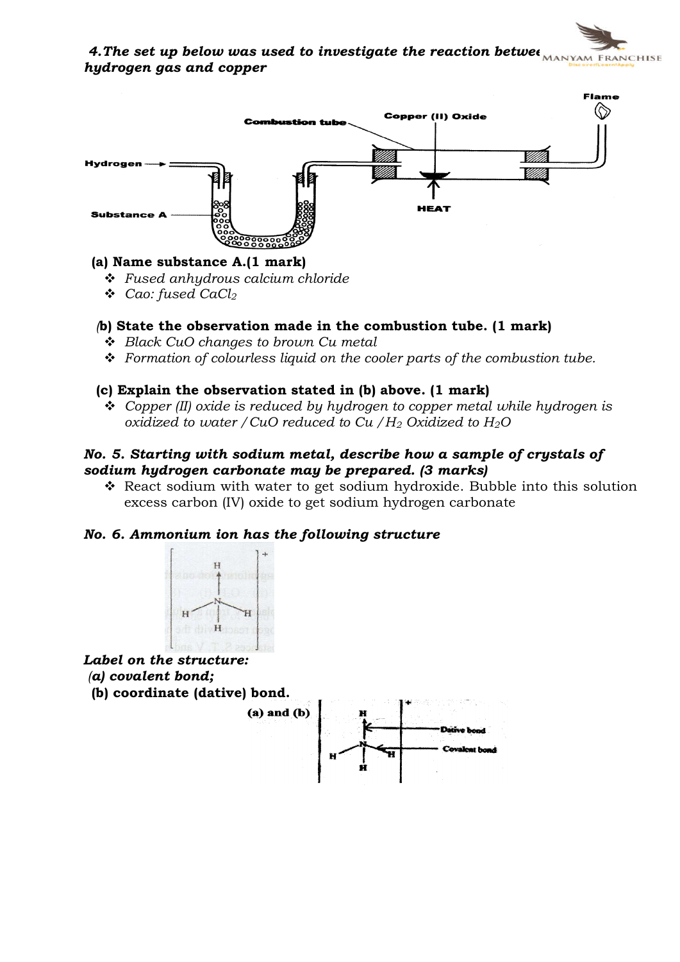4. The set up below was used to investigate the reaction betwee  $M$ hydrogen gas and copper



#### (a) Name substance A.(1 mark)

- $\div$  Fused anhydrous calcium chloride
- $\triangleleft$  Cao: fused CaCl<sub>2</sub>

#### (b) State the observation made in the combustion tube. (1 mark)

- $\triangleleft$  Black CuO changes to brown Cu metal
- $\div$  Formation of colourless liquid on the cooler parts of the combustion tube.

#### (c) Explain the observation stated in (b) above. (1 mark)

 $\div$  Copper (II) oxide is reduced by hydrogen to copper metal while hydrogen is oxidized to water / CuO reduced to Cu /  $H_2$  Oxidized to  $H_2O$ 

#### No. 5. Starting with sodium metal, describe how a sample of crystals of sodium hydrogen carbonate may be prepared. (3 marks)

 $\triangle$  React sodium with water to get sodium hydroxide. Bubble into this solution excess carbon (IV) oxide to get sodium hydrogen carbonate

#### No. 6. Ammonium ion has the following structure



Label on the structure: (a) covalent bond;

(b) coordinate (dative) bond.

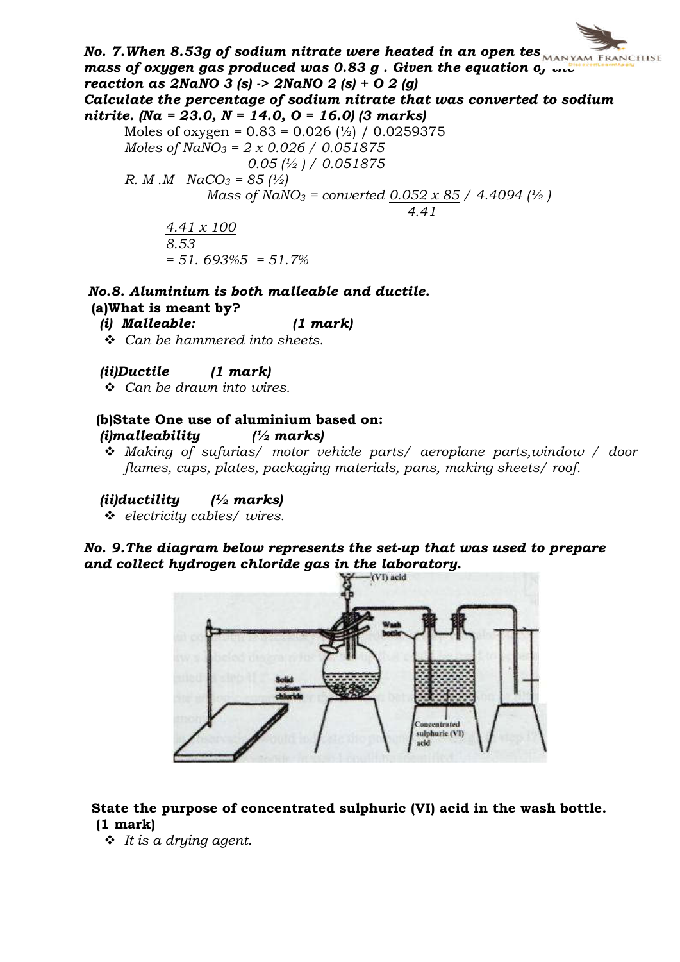No. 7. When 8.53g of sodium nitrate were heated in an open tes $\overline{\mathbf{r}_{\text{MANYAM FRMCHISE}}}$ mass of oxygen gas produced was  $0.83$  g . Given the equation  $o_j$  and reaction as  $2$ NaNO 3 (s)  $\rightarrow$   $2$ NaNO 2 (s) + O 2 (g) Calculate the percentage of sodium nitrate that was converted to sodium nitrite. (Na = 23.0, N = 14.0, O = 16.0) (3 marks) Moles of oxygen =  $0.83 = 0.026$  ( $\frac{1}{2}$ ) / 0.0259375 Moles of  $NaNO_3 = 2 \times 0.026 / 0.051875$  $0.05$  ( $\frac{1}{2}$ ) / 0.051875 R. M  $.M$   $NaCO_3 = 85$  ( $\frac{1}{2}$ ) Mass of NaNO<sub>3</sub> = converted  $0.052 \times 85 / 4.4094$  ( $\frac{1}{2}$ ) 4.41 4.41 x 100 8.53  $= 51.693\%5 = 51.7\%$ 

#### No.8. Aluminium is both malleable and ductile. (a)What is meant by?

(i) Malleable: (1 mark)

- $\div$  Can be hammered into sheets.
- (ii)Ductile (1 mark)

 $\div$  Can be drawn into wires.

# (b)State One use of aluminium based on:

- (*i*)malleability  $\frac{1}{2}$  marks)
- Making of sufurias/ motor vehicle parts/ aeroplane parts, window / door flames, cups, plates, packaging materials, pans, making sheets/ roof.

(*ii*)ductility  $\frac{1}{2}$  marks)

 $\div$  electricity cables/ wires.

# No. 9.The diagram below represents the set-up that was used to prepare and collect hydrogen chloride gas in the laboratory.<br> $\mathcal{L}(\text{VI})$  acid



#### State the purpose of concentrated sulphuric (VI) acid in the wash bottle. (1 mark)

 $\cdot \cdot$  It is a drying agent.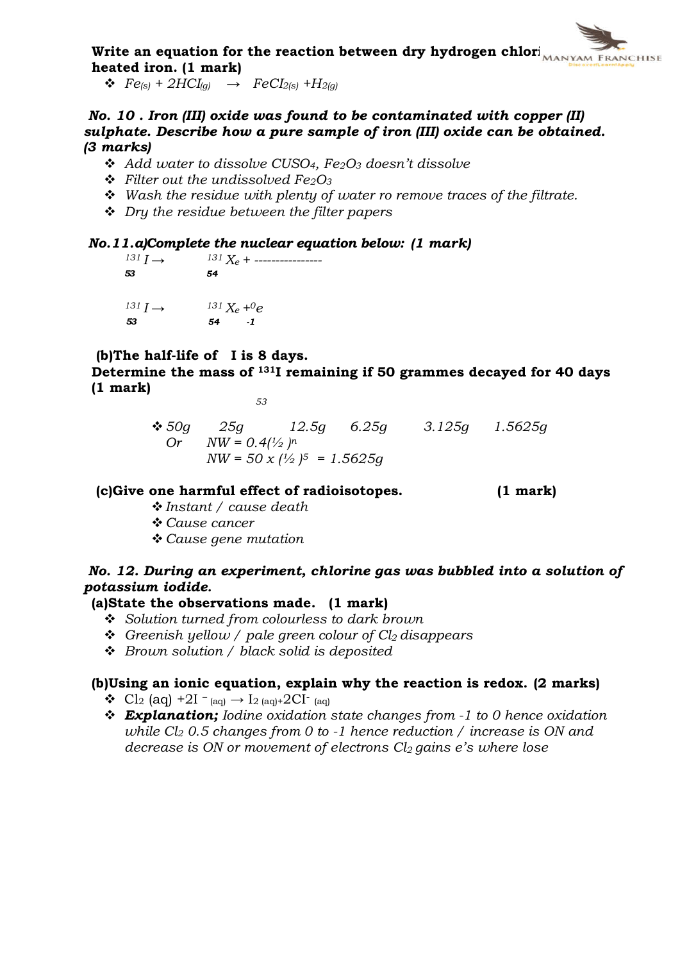

 $\triangleleft$   $Fe_{(s)} + 2HCI_{(q)} \rightarrow FeCI_{2(s)} + H_{2(q)}$ 

No. 10 . Iron (III) oxide was found to be contaminated with copper (II) sulphate. Describe how a pure sample of iron (III) oxide can be obtained. (3 marks)

- Add water to dissolve CUSO<sub>4</sub>,  $Fe<sub>2</sub>O<sub>3</sub>$  doesn't dissolve
- $\div$  Filter out the undissolved Fe<sub>2</sub>O<sub>3</sub>
- $\div$  Wash the residue with plenty of water ro remove traces of the filtrate.
- $\div$  Dry the residue between the filter papers

# **No.11.a)Complete the nuclear equation below:** (1 mark)<br> $\frac{131 I}{4}$   $\rightarrow$   $\frac{131 X_c + \dots}{4}$

<sup>131</sup> I → <sup>131</sup> Xe + ---------------- 53  $131 I \rightarrow 131 X_e +0e$ <br>53 54 1

53

#### (b)The half-life of I is 8 days.

Determine the mass of 131I remaining if 50 grammes decayed for 40 days (1 mark)

53

 $\div$  50g 25g 12.5g 6.25g 3.125g 1.5625g Or  $NW = 0.4 \frac{1}{2} n$  $NW = 50 \times \frac{1}{2} = 1.5625q$ 

#### (c)Give one harmful effect of radioisotopes. (1 mark)

- $\triangle$  Instant / cause death
- † Cause cancer
- $\triangle$  Cause gene mutation

#### No. 12. During an experiment, chlorine gas was bubbled into a solution of potassium iodide.

#### (a)State the observations made. (1 mark)

- $\div$  Solution turned from colourless to dark brown
- $\div$  Greenish yellow / pale green colour of Cl<sub>2</sub> disappears
- $\div$  Brown solution / black solid is deposited

#### (b)Using an ionic equation, explain why the reaction is redox. (2 marks)

- Cl<sub>2</sub> (aq) +2I <sub>(aq)</sub>  $\rightarrow$  I<sub>2 (aq)</sub>+2CI <sub>(aq)</sub>
- $\triangleleft$  **Explanation;** Iodine oxidation state changes from -1 to 0 hence oxidation while  $Cl<sub>2</sub> 0.5$  changes from 0 to -1 hence reduction / increase is ON and decrease is ON or movement of electrons  $Cl<sub>2</sub>$  gains e's where lose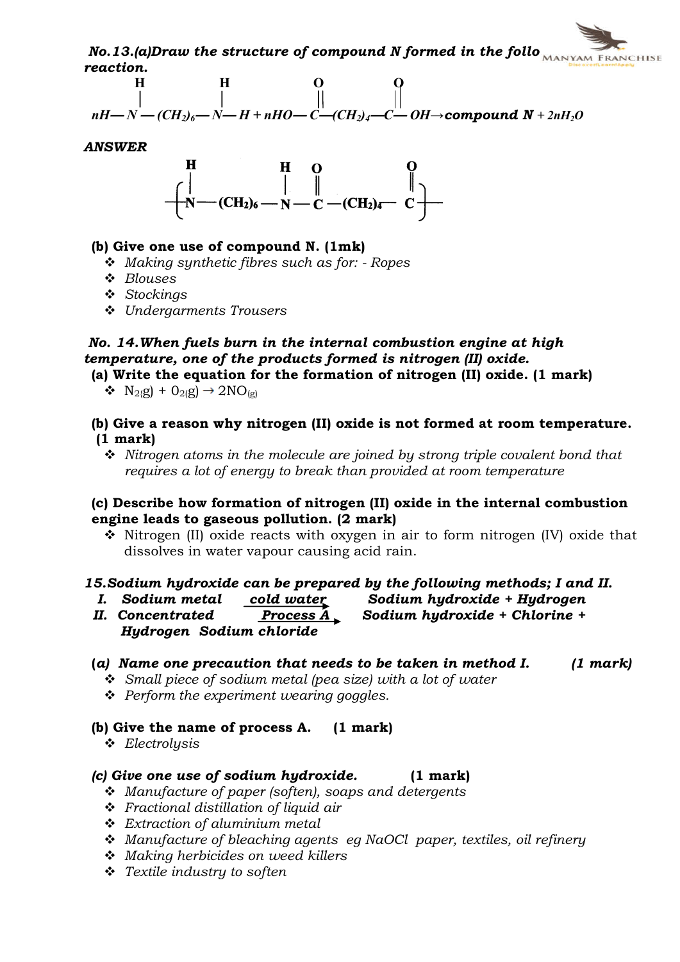$No.13.$ (a)Draw the structure of compound N formed in the follo  $_{MANYAM}$  Franchise reaction.



ANSWER



#### (b) Give one use of compound N. (1mk)

- $\triangleleft$  Making synthetic fibres such as for: Ropes
- $\triangleleft$  Blouses
- v Stockings
- v Undergarments Trousers

### No. 14.When fuels burn in the internal combustion engine at high temperature, one of the products formed is nitrogen (II) oxide.

- (a) Write the equation for the formation of nitrogen (II) oxide. (1 mark)
	- $\bullet$  N<sub>2{</sub>g) + O<sub>2(</sub>g)  $\rightarrow$  2NO<sub>(g)</sub>
- (b) Give a reason why nitrogen (II) oxide is not formed at room temperature. (1 mark)
	- $\cdot$  Nitrogen atoms in the molecule are joined by strong triple covalent bond that requires a lot of energy to break than provided at room temperature

#### (c) Describe how formation of nitrogen (II) oxide in the internal combustion engine leads to gaseous pollution. (2 mark)

 $\hat{\mathbf{v}}$  Nitrogen (II) oxide reacts with oxygen in air to form nitrogen (IV) oxide that dissolves in water vapour causing acid rain.

#### 15.Sodium hydroxide can be prepared by the following methods; I and II.

- 
- I. Sodium metal cold water Sodium hydroxide + Hydrogen
- II. Concentrated Process  $\overline{A}$  Sodium hydroxide + Chlorine + Hydrogen Sodium chloride

#### (a) Name one precaution that needs to be taken in method I.  $(1 \text{ mark})$

- $\hat{\mathbf{v}}$  Small piece of sodium metal (pea size) with a lot of water
- $\div$  Perform the experiment wearing goggles.

#### (b) Give the name of process A. (1 mark)

 $\triangleleft$  Electrolusis

#### (c) Give one use of sodium hydroxide. (1 mark)

- $\div$  Manufacture of paper (soften), soaps and detergents
- $\cdot$  Fractional distillation of liquid air
- $\div$  Extraction of aluminium metal
- \* Manufacture of bleaching agents eg NaOCl paper, textiles, oil refinery
- $\div$  Making herbicides on weed killers
- $\div$  Textile industry to soften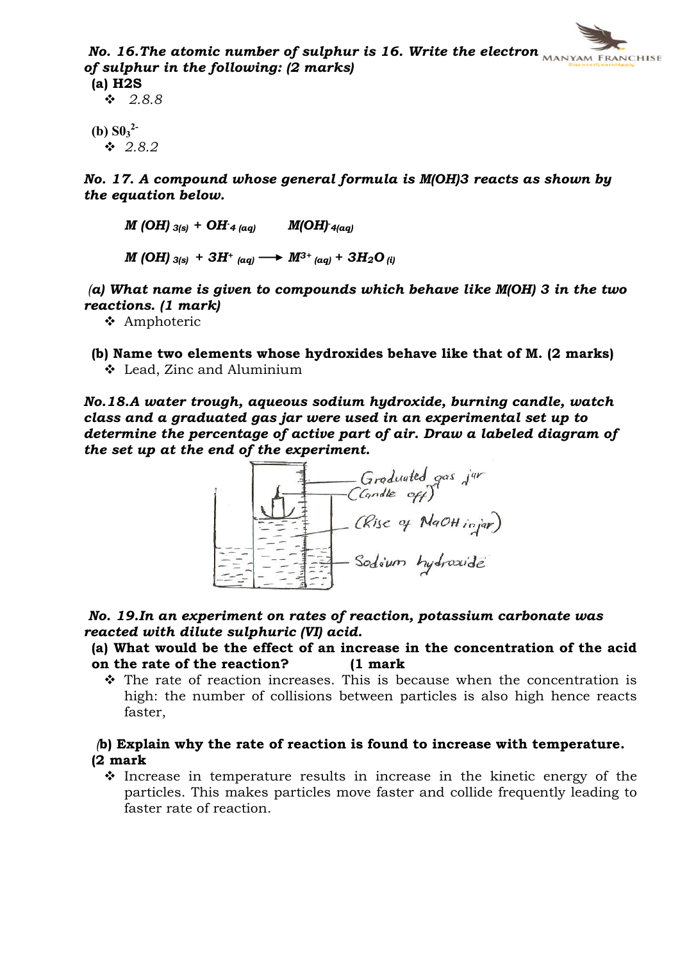No. 16. The atomic number of sulphur is 16. Write the electron  $M_{MANYAM FRMCHISE}$ of sulphur in the following: (2 marks) (a) H2S

 $\cdot 2.8.8$ 

 $(b)$   $S0_3^2$  $\div$  2.8.2

No. 17. A compound whose general formula is M(OH)3 reacts as shown by the equation below.

 $M$  (OH)  $_{3(s)}$  + OH  $_{4\ (aq)}$  M(OH)  $_{4(aq)}$  $M$  (OH)  $_{3(s)} + 3H^+$  (aq)  $\longrightarrow M^{3+}$  (aq) +  $3H_2O_{(i)}$ 

(a) What name is given to compounds which behave like  $M(OH)$  3 in the two reactions. (1 mark)

**❖** Amphoteric

(b) Name two elements whose hydroxides behave like that of M. (2 marks)  $\triangleleft$  Lead, Zinc and Aluminium

No.18.A water trough, aqueous sodium hydroxide, burning candle, watch class and a graduated gas jar were used in an experimental set up to determine the percentage of active part of air. Draw a labeled diagram of the set up at the end of the experiment.



No. 19.In an experiment on rates of reaction, potassium carbonate was reacted with dilute sulphuric (VI) acid.

#### (a) What would be the effect of an increase in the concentration of the acid on the rate of the reaction? (1 mark

 $\hat{v}$  The rate of reaction increases. This is because when the concentration is high: the number of collisions between particles is also high hence reacts faster,

#### (b) Explain why the rate of reaction is found to increase with temperature. (2 mark

 $\div$  Increase in temperature results in increase in the kinetic energy of the particles. This makes particles move faster and collide frequently leading to faster rate of reaction.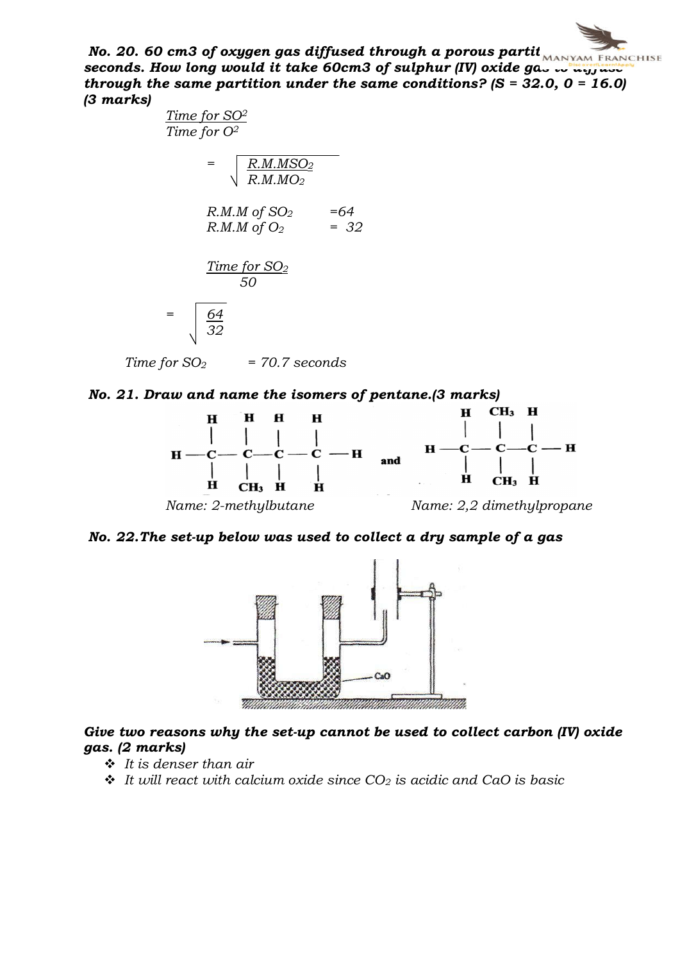No. 20. 60 cm3 of oxygen gas diffused through a porous partit $\overline{\text{MANYAM FRMCHISE}}$ seconds. How long would it take 60cm3 of sulphur (IV) oxide  $ga_{\sim}$  to diffuse through the same partition under the same conditions?  $(S = 32.0, 0 = 16.0)$ (3 marks)

> Time for SO2 Time for O2  $=$  R.M.MSO<sub>2</sub> R.M.MO2  $R.M.M$  of SO<sub>2</sub> =64  $R.M.M of O_2 = 32$ Time for SO<sub>2</sub> 50  $=$   $64$  $\sqrt{32}$

 $Time for SO<sub>2</sub> = 70.7 seconds$ 





No. 22.The set-up below was used to collect a dry sample of a gas



#### Give two reasons why the set-up cannot be used to collect carbon (IV) oxide gas. (2 marks)

- $\cdot$  It is denser than air
- $\cdot$  It will react with calcium oxide since CO<sub>2</sub> is acidic and CaO is basic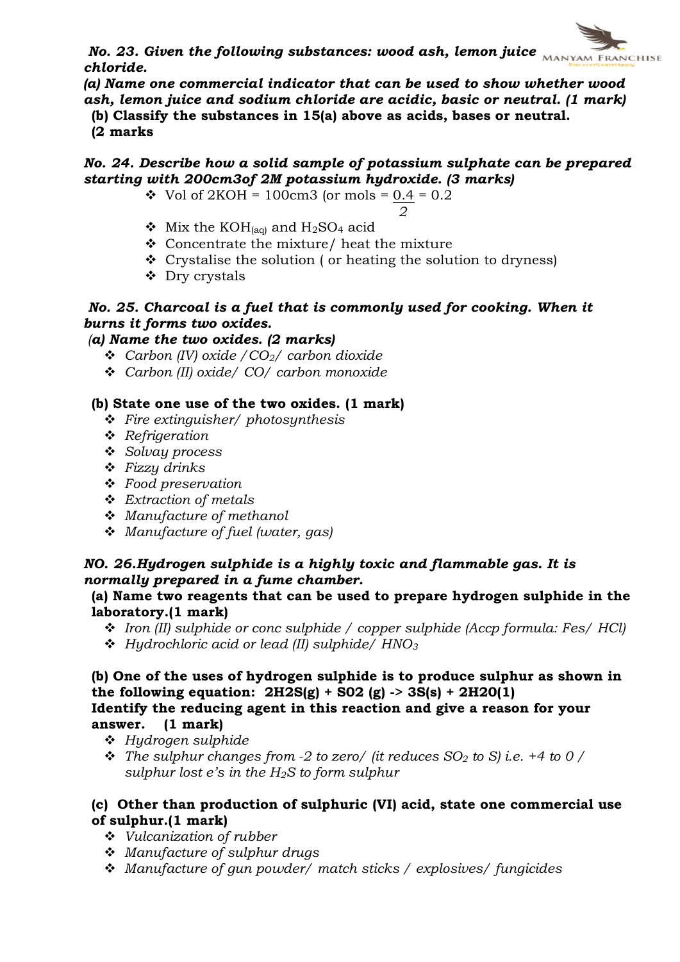No. 23. Given the following substances: wood ash, lemon juice  $\overline{\text{MANYAM FRMCHISE}}$ chloride.

(a) Name one commercial indicator that can be used to show whether wood ash, lemon juice and sodium chloride are acidic, basic or neutral. (1 mark)

(b) Classify the substances in 15(a) above as acids, bases or neutral. (2 marks

#### No. 24. Describe how a solid sample of potassium sulphate can be prepared starting with 200cm3of 2M potassium hydroxide. (3 marks)

- Vol of  $2KOH = 100 \text{cm}$ 3 (or mols = 0.4 = 0.2)
	- 2
- $\bullet$  Mix the KOH<sub>(aq)</sub> and H<sub>2</sub>SO<sub>4</sub> acid
- $\div$  Concentrate the mixture/ heat the mixture
- $\div$  Crystalise the solution ( or heating the solution to dryness)
- $\triangle$  Dry crystals

#### No. 25. Charcoal is a fuel that is commonly used for cooking. When it burns it forms two oxides.

#### (a) Name the two oxides. (2 marks)

- **↓** Carbon (IV) oxide  $/CO<sub>2</sub>/$  carbon dioxide
- v Carbon (II) oxide/ CO/ carbon monoxide

#### (b) State one use of the two oxides. (1 mark)

- $\div$  Fire extinguisher/ photosynthesis
- $\triangleleft$  Refrigeration
- $\bullet$  Solvay process
- $\div$  Fizzy drinks
- $\triangle$  Food preservation
- $\triangleleft$  Extraction of metals
- $\div$  Manufacture of methanol
- $\triangleleft$  Manufacture of fuel (water, gas)

#### NO. 26.Hydrogen sulphide is a highly toxic and flammable gas. It is normally prepared in a fume chamber.

#### (a) Name two reagents that can be used to prepare hydrogen sulphide in the laboratory.(1 mark)

- $\div$  Iron (II) sulphide or conc sulphide / copper sulphide (Accp formula: Fes/ HCl)
- $\div$  Hudrochloric acid or lead (II) sulphide/ HNO<sub>3</sub>

#### (b) One of the uses of hydrogen sulphide is to produce sulphur as shown in the following equation:  $2H2S(g) + SO2(g) \rightarrow 3S(s) + 2H2O(1)$ Identify the reducing agent in this reaction and give a reason for your answer. (1 mark)

- v Hydrogen sulphide
- $\hat{\mathbf{v}}$  The sulphur changes from -2 to zero/ (it reduces SO<sub>2</sub> to S) i.e. +4 to 0 / sulphur lost  $e$ 's in the  $H_2S$  to form sulphur

#### (c) Other than production of sulphuric (VI) acid, state one commercial use of sulphur.(1 mark)

- $\div$  Vulcanization of rubber
- \* Manufacture of sulphur drugs
- \* Manufacture of gun powder/ match sticks / explosives/ fungicides